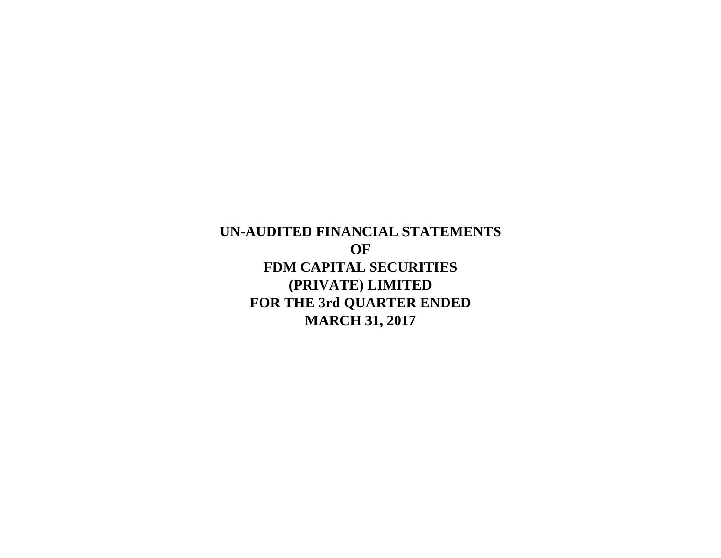**UN-AUDITED FINANCIAL STATEMENTS OF FDM CAPITAL SECURITIES (PRIVATE) LIMITED FOR THE 3rd QUARTER ENDED MARCH 31, 2017**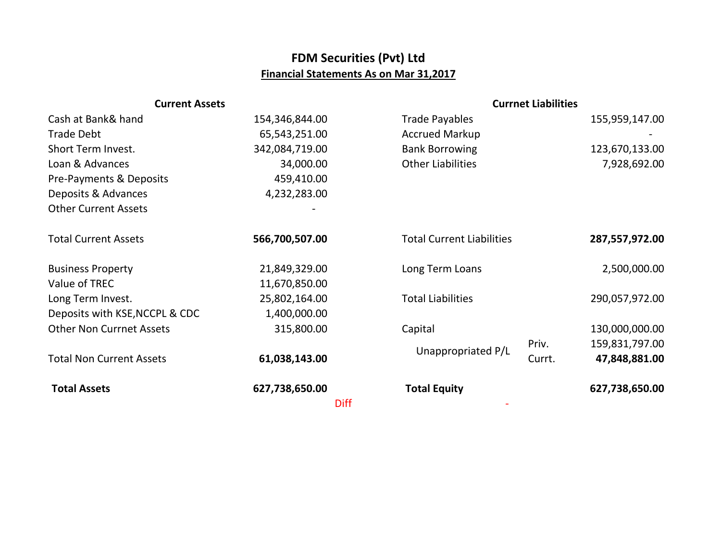## **FDM Securities (Pvt) Ltd Financial Statements As on Mar 31,2017**

| <b>Current Assets</b>           |                |                                  | <b>Currnet Liabilities</b> |  |
|---------------------------------|----------------|----------------------------------|----------------------------|--|
| Cash at Bank& hand              | 154,346,844.00 | <b>Trade Payables</b>            | 155,959,147.00             |  |
| <b>Trade Debt</b>               | 65,543,251.00  | <b>Accrued Markup</b>            |                            |  |
| Short Term Invest.              | 342,084,719.00 | <b>Bank Borrowing</b>            | 123,670,133.00             |  |
| Loan & Advances                 | 34,000.00      | <b>Other Liabilities</b>         | 7,928,692.00               |  |
| Pre-Payments & Deposits         | 459,410.00     |                                  |                            |  |
| Deposits & Advances             | 4,232,283.00   |                                  |                            |  |
| <b>Other Current Assets</b>     |                |                                  |                            |  |
|                                 |                |                                  |                            |  |
| <b>Total Current Assets</b>     | 566,700,507.00 | <b>Total Current Liabilities</b> | 287,557,972.00             |  |
|                                 |                |                                  |                            |  |
| <b>Business Property</b>        | 21,849,329.00  | Long Term Loans                  | 2,500,000.00               |  |
| Value of TREC                   | 11,670,850.00  |                                  |                            |  |
| Long Term Invest.               | 25,802,164.00  | <b>Total Liabilities</b>         | 290,057,972.00             |  |
| Deposits with KSE, NCCPL & CDC  | 1,400,000.00   |                                  |                            |  |
| <b>Other Non Currnet Assets</b> | 315,800.00     | Capital                          | 130,000,000.00             |  |
|                                 |                |                                  | Priv.<br>159,831,797.00    |  |
| <b>Total Non Current Assets</b> | 61,038,143.00  | Unappropriated P/L               | 47,848,881.00<br>Currt.    |  |
|                                 |                |                                  |                            |  |
| <b>Total Assets</b>             | 627,738,650.00 | <b>Total Equity</b>              | 627,738,650.00             |  |
|                                 | <b>Diff</b>    |                                  |                            |  |